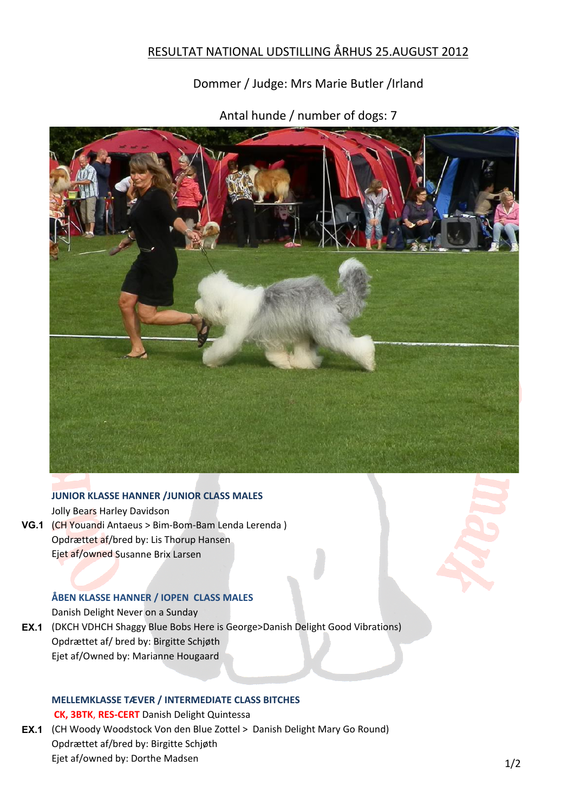# RESULTAT NATIONAL UDSTILLING ÅRHUS 25.AUGUST 2012

## Dommer / Judge: Mrs Marie Butler /Irland

## Antal hunde / number of dogs: 7



#### **JUNIOR KLASSE HANNER /JUNIOR CLASS MALES**

Jolly Bears Harley Davidson

**VG.1** (CH Youandi Antaeus > Bim-Bom-Bam Lenda Lerenda) Opdrættet af/bred by: Lis Thorup Hansen Ejet af/owned Susanne Brix Larsen

### **ÅBEN KLASSE HANNER / IOPEN CLASS MALES**

Danish Delight Never on a Sunday

**EX.1** (DKCH VDHCH Shaggy Blue Bobs Here is George>Danish Delight Good Vibrations) Opdrættet af/ bred by: Birgitte Schjøth Ejet af/Owned by: Marianne Hougaard

#### **MELLEMKLASSE TÆVER / INTERMEDIATE CLASS BITCHES**

**CK, 3BTK, RES-CERT** Danish Delight Quintessa **EX.1** (CH Woody Woodstock Von den Blue Zottel > Danish Delight Mary Go Round) Opdrættet af/bred by: Birgitte Schjøth Ejet af/owned by: Dorthe Madsen